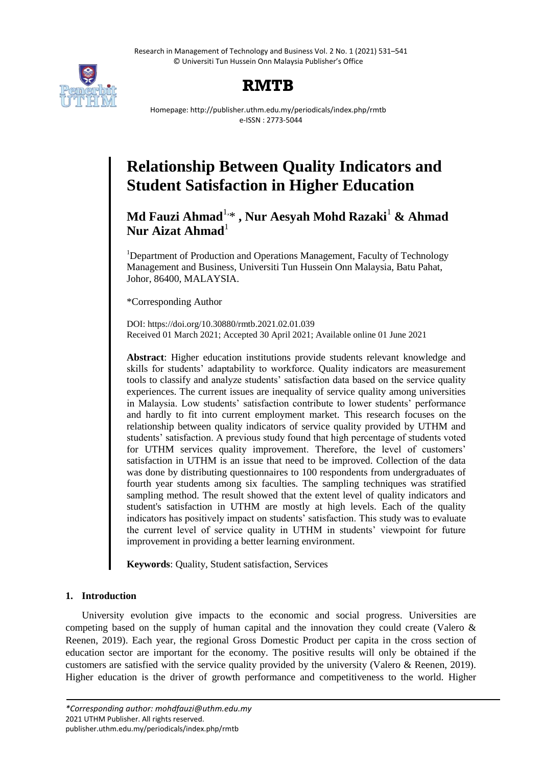Research in Management of Technology and Business Vol. 2 No. 1 (2021) 531–541 © Universiti Tun Hussein Onn Malaysia Publisher's Office



# **RMTB**

Homepage: http://publisher.uthm.edu.my/periodicals/index.php/rmtb e-ISSN : 2773-5044

# **Relationship Between Quality Indicators and Student Satisfaction in Higher Education**

# **Md Fauzi Ahmad**1, \* **, Nur Aesyah Mohd Razaki**<sup>1</sup> **& Ahmad Nur Aizat Ahmad**<sup>1</sup>

<sup>1</sup>Department of Production and Operations Management, Faculty of Technology Management and Business, Universiti Tun Hussein Onn Malaysia, Batu Pahat, Johor, 86400, MALAYSIA.

\*Corresponding Author

DOI: https://doi.org/10.30880/rmtb.2021.02.01.039 Received 01 March 2021; Accepted 30 April 2021; Available online 01 June 2021

**Abstract**: Higher education institutions provide students relevant knowledge and skills for students' adaptability to workforce. Quality indicators are measurement tools to classify and analyze students' satisfaction data based on the service quality experiences. The current issues are inequality of service quality among universities in Malaysia. Low students' satisfaction contribute to lower students' performance and hardly to fit into current employment market. This research focuses on the relationship between quality indicators of service quality provided by UTHM and students' satisfaction. A previous study found that high percentage of students voted for UTHM services quality improvement. Therefore, the level of customers' satisfaction in UTHM is an issue that need to be improved. Collection of the data was done by distributing questionnaires to 100 respondents from undergraduates of fourth year students among six faculties. The sampling techniques was stratified sampling method. The result showed that the extent level of quality indicators and student's satisfaction in UTHM are mostly at high levels. Each of the quality indicators has positively impact on students' satisfaction. This study was to evaluate the current level of service quality in UTHM in students' viewpoint for future improvement in providing a better learning environment.

**Keywords**: Quality, Student satisfaction, Services

# **1. Introduction**

University evolution give impacts to the economic and social progress. Universities are competing based on the supply of human capital and the innovation they could create (Valero  $\&$ Reenen, 2019). Each year, the regional Gross Domestic Product per capita in the cross section of education sector are important for the economy. The positive results will only be obtained if the customers are satisfied with the service quality provided by the university (Valero & Reenen, 2019). Higher education is the driver of growth performance and competitiveness to the world. Higher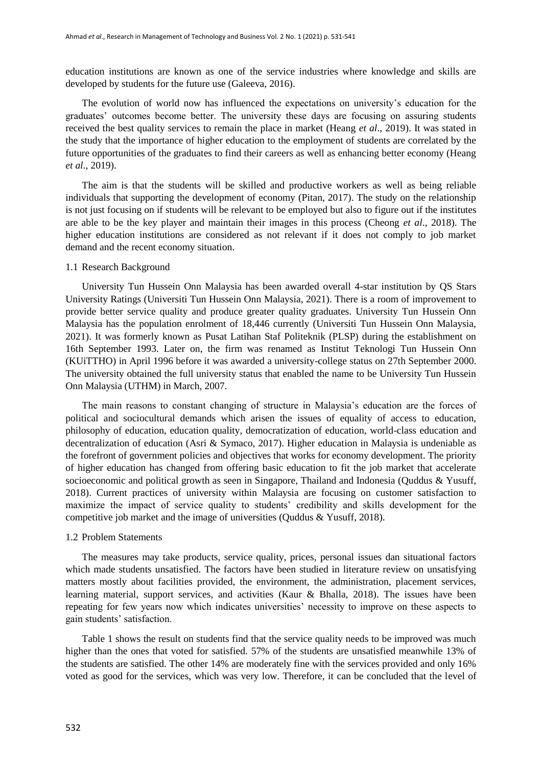education institutions are known as one of the service industries where knowledge and skills are developed by students for the future use (Galeeva, 2016).

The evolution of world now has influenced the expectations on university's education for the graduates' outcomes become better. The university these days are focusing on assuring students received the best quality services to remain the place in market (Heang *et al*., 2019). It was stated in the study that the importance of higher education to the employment of students are correlated by the future opportunities of the graduates to find their careers as well as enhancing better economy (Heang *et al*., 2019).

The aim is that the students will be skilled and productive workers as well as being reliable individuals that supporting the development of economy (Pitan, 2017). The study on the relationship is not just focusing on if students will be relevant to be employed but also to figure out if the institutes are able to be the key player and maintain their images in this process (Cheong *et al*., 2018). The higher education institutions are considered as not relevant if it does not comply to job market demand and the recent economy situation.

#### 1.1 Research Background

University Tun Hussein Onn Malaysia has been awarded overall 4-star institution by QS Stars University Ratings (Universiti Tun Hussein Onn Malaysia, 2021). There is a room of improvement to provide better service quality and produce greater quality graduates. University Tun Hussein Onn Malaysia has the population enrolment of 18,446 currently (Universiti Tun Hussein Onn Malaysia, 2021). It was formerly known as Pusat Latihan Staf Politeknik (PLSP) during the establishment on 16th September 1993. Later on, the firm was renamed as Institut Teknologi Tun Hussein Onn (KUiTTHO) in April 1996 before it was awarded a university-college status on 27th September 2000. The university obtained the full university status that enabled the name to be University Tun Hussein Onn Malaysia (UTHM) in March, 2007.

The main reasons to constant changing of structure in Malaysia's education are the forces of political and sociocultural demands which arisen the issues of equality of access to education, philosophy of education, education quality, democratization of education, world-class education and decentralization of education (Asri & Symaco, 2017). Higher education in Malaysia is undeniable as the forefront of government policies and objectives that works for economy development. The priority of higher education has changed from offering basic education to fit the job market that accelerate socioeconomic and political growth as seen in Singapore, Thailand and Indonesia (Quddus & Yusuff, 2018). Current practices of university within Malaysia are focusing on customer satisfaction to maximize the impact of service quality to students' credibility and skills development for the competitive job market and the image of universities (Quddus & Yusuff, 2018).

#### 1.2 Problem Statements

The measures may take products, service quality, prices, personal issues dan situational factors which made students unsatisfied. The factors have been studied in literature review on unsatisfying matters mostly about facilities provided, the environment, the administration, placement services, learning material, support services, and activities (Kaur & Bhalla, 2018). The issues have been repeating for few years now which indicates universities' necessity to improve on these aspects to gain students' satisfaction.

Table 1 shows the result on students find that the service quality needs to be improved was much higher than the ones that voted for satisfied. 57% of the students are unsatisfied meanwhile 13% of the students are satisfied. The other 14% are moderately fine with the services provided and only 16% voted as good for the services, which was very low. Therefore, it can be concluded that the level of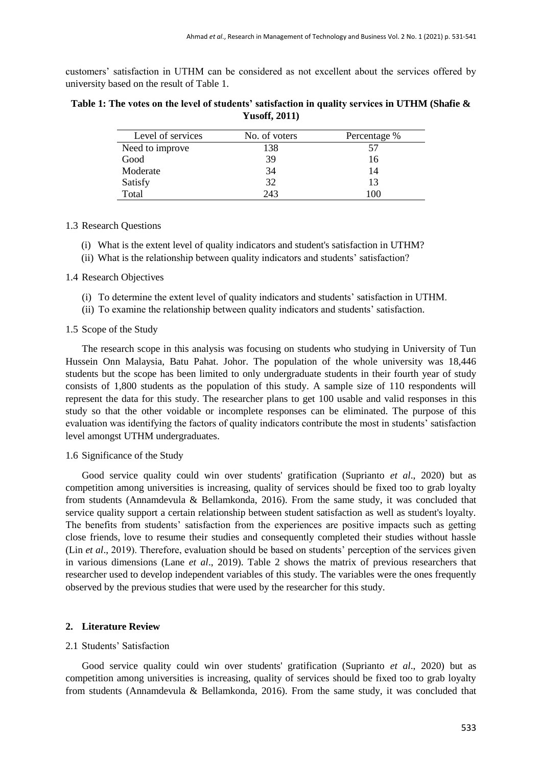customers' satisfaction in UTHM can be considered as not excellent about the services offered by university based on the result of Table 1.

# **Table 1: The votes on the level of students' satisfaction in quality services in UTHM (Shafie & Yusoff, 2011)**

| Level of services | No. of voters | Percentage % |
|-------------------|---------------|--------------|
| Need to improve   | 138           | 57           |
| Good              | 39            | 16           |
| Moderate          | 34            | 14           |
| Satisfy           | 32            | 13           |
| Total             | 243           | 100          |

#### 1.3 Research Questions

- (i) What is the extent level of quality indicators and student's satisfaction in UTHM?
- (ii) What is the relationship between quality indicators and students' satisfaction?

#### 1.4 Research Objectives

- (i) To determine the extent level of quality indicators and students' satisfaction in UTHM.
- (ii) To examine the relationship between quality indicators and students' satisfaction.

#### 1.5 Scope of the Study

The research scope in this analysis was focusing on students who studying in University of Tun Hussein Onn Malaysia, Batu Pahat. Johor. The population of the whole university was 18,446 students but the scope has been limited to only undergraduate students in their fourth year of study consists of 1,800 students as the population of this study. A sample size of 110 respondents will represent the data for this study. The researcher plans to get 100 usable and valid responses in this study so that the other voidable or incomplete responses can be eliminated. The purpose of this evaluation was identifying the factors of quality indicators contribute the most in students' satisfaction level amongst UTHM undergraduates.

#### 1.6 Significance of the Study

Good service quality could win over students' gratification (Suprianto *et al*., 2020) but as competition among universities is increasing, quality of services should be fixed too to grab loyalty from students (Annamdevula & Bellamkonda, 2016). From the same study, it was concluded that service quality support a certain relationship between student satisfaction as well as student's loyalty. The benefits from students' satisfaction from the experiences are positive impacts such as getting close friends, love to resume their studies and consequently completed their studies without hassle (Lin *et al*., 2019). Therefore, evaluation should be based on students' perception of the services given in various dimensions (Lane *et al*., 2019). Table 2 shows the matrix of previous researchers that researcher used to develop independent variables of this study. The variables were the ones frequently observed by the previous studies that were used by the researcher for this study.

#### **2. Literature Review**

#### 2.1 Students' Satisfaction

Good service quality could win over students' gratification (Suprianto *et al*., 2020) but as competition among universities is increasing, quality of services should be fixed too to grab loyalty from students (Annamdevula & Bellamkonda, 2016). From the same study, it was concluded that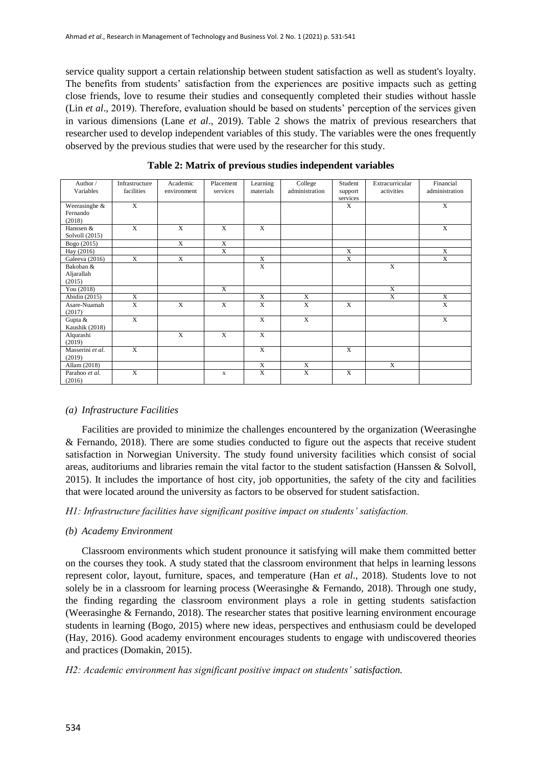service quality support a certain relationship between student satisfaction as well as student's loyalty. The benefits from students' satisfaction from the experiences are positive impacts such as getting close friends, love to resume their studies and consequently completed their studies without hassle (Lin *et al*., 2019). Therefore, evaluation should be based on students' perception of the services given in various dimensions (Lane *et al*., 2019). Table 2 shows the matrix of previous researchers that researcher used to develop independent variables of this study. The variables were the ones frequently observed by the previous studies that were used by the researcher for this study.

| Author /<br>Variables               | Infrastructure<br>facilities | Academic<br>environment | Placement<br>services | Learning<br>materials | College<br>administration | Student<br>support<br>services | Extracurricular<br>activities | Financial<br>administration |
|-------------------------------------|------------------------------|-------------------------|-----------------------|-----------------------|---------------------------|--------------------------------|-------------------------------|-----------------------------|
| Weerasinghe &<br>Fernando<br>(2018) | $\overline{X}$               |                         |                       |                       |                           | X                              |                               | $\overline{X}$              |
| Hanssen &<br>Solvoll (2015)         | $\mathbf X$                  | $\mathbf X$             | $\mathbf{X}$          | X                     |                           |                                |                               | $\mathbf X$                 |
| Bogo (2015)                         |                              | X                       | X                     |                       |                           |                                |                               |                             |
| Hay (2016)                          |                              |                         | X                     |                       |                           | X                              |                               | X                           |
| Galeeva (2016)                      | X                            | $\mathbf{X}$            |                       | $\mathbf X$           |                           | X                              |                               | X                           |
| Bakoban &<br>Aljarallah<br>(2015)   |                              |                         |                       | X                     |                           |                                | $\mathbf X$                   |                             |
| You (2018)                          |                              |                         | X                     |                       |                           |                                | X                             |                             |
| Abidin (2015)                       | $\overline{X}$               |                         |                       | $\overline{X}$        | $\overline{X}$            |                                | $\overline{X}$                | $\overline{X}$              |
| Asare-Nuamah<br>(2017)              | $\mathbf X$                  | $\mathbf X$             | X                     | X                     | $\mathbf X$               | X                              |                               | $\mathbf X$                 |
| Gupta &<br>Kaushik (2018)           | X                            |                         |                       | X                     | X                         |                                |                               | X                           |
| Alqurashi<br>(2019)                 |                              | $\mathbf X$             | $\mathbf X$           | $\mathbf X$           |                           |                                |                               |                             |
| Masserini et al.<br>(2019)          | X                            |                         |                       | $\mathbf X$           |                           | X                              |                               |                             |
| Allam (2018)                        |                              |                         |                       | $\mathbf X$           | $\mathbf X$               |                                | X                             |                             |
| Parahoo et al.<br>(2016)            | $\mathbf{x}$                 |                         | $\mathbf{x}$          | X                     | $\mathbf{x}$              | X                              |                               |                             |

**Table 2: Matrix of previous studies independent variables**

# *(a) Infrastructure Facilities*

Facilities are provided to minimize the challenges encountered by the organization (Weerasinghe & Fernando, 2018). There are some studies conducted to figure out the aspects that receive student satisfaction in Norwegian University. The study found university facilities which consist of social areas, auditoriums and libraries remain the vital factor to the student satisfaction (Hanssen & Solvoll, 2015). It includes the importance of host city, job opportunities, the safety of the city and facilities that were located around the university as factors to be observed for student satisfaction.

# *H1: Infrastructure facilities have significant positive impact on students' satisfaction.*

# *(b) Academy Environment*

Classroom environments which student pronounce it satisfying will make them committed better on the courses they took. A study stated that the classroom environment that helps in learning lessons represent color, layout, furniture, spaces, and temperature (Han *et al*., 2018). Students love to not solely be in a classroom for learning process (Weerasinghe & Fernando, 2018). Through one study, the finding regarding the classroom environment plays a role in getting students satisfaction (Weerasinghe & Fernando, 2018). The researcher states that positive learning environment encourage students in learning (Bogo, 2015) where new ideas, perspectives and enthusiasm could be developed (Hay, 2016). Good academy environment encourages students to engage with undiscovered theories and practices (Domakin, 2015).

#### *H2: Academic environment has significant positive impact on students' satisfaction.*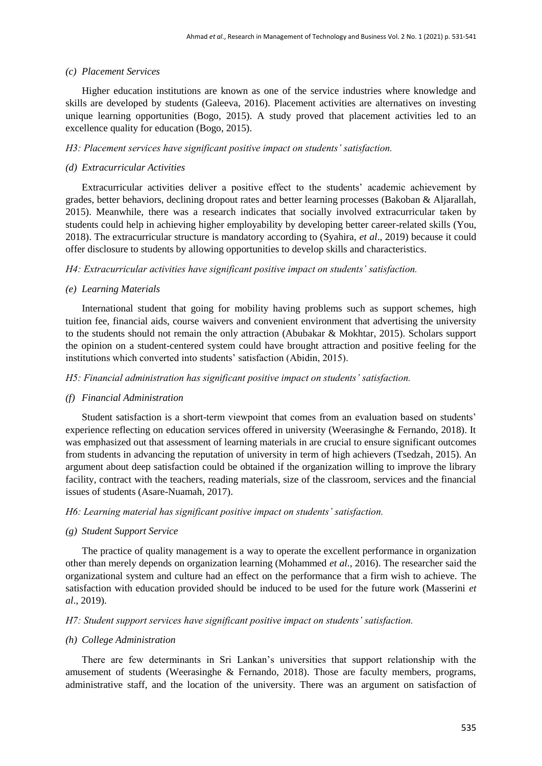# *(c) Placement Services*

Higher education institutions are known as one of the service industries where knowledge and skills are developed by students (Galeeva, 2016). Placement activities are alternatives on investing unique learning opportunities (Bogo, 2015). A study proved that placement activities led to an excellence quality for education (Bogo, 2015).

# *H3: Placement services have significant positive impact on students' satisfaction.*

# *(d) Extracurricular Activities*

Extracurricular activities deliver a positive effect to the students' academic achievement by grades, better behaviors, declining dropout rates and better learning processes (Bakoban & Aljarallah, 2015). Meanwhile, there was a research indicates that socially involved extracurricular taken by students could help in achieving higher employability by developing better career-related skills (You, 2018). The extracurricular structure is mandatory according to (Syahira, *et al*., 2019) because it could offer disclosure to students by allowing opportunities to develop skills and characteristics.

# *H4: Extracurricular activities have significant positive impact on students' satisfaction.*

# *(e) Learning Materials*

International student that going for mobility having problems such as support schemes, high tuition fee, financial aids, course waivers and convenient environment that advertising the university to the students should not remain the only attraction (Abubakar & Mokhtar, 2015). Scholars support the opinion on a student-centered system could have brought attraction and positive feeling for the institutions which converted into students' satisfaction (Abidin, 2015).

*H5: Financial administration has significant positive impact on students' satisfaction.*

#### *(f) Financial Administration*

Student satisfaction is a short-term viewpoint that comes from an evaluation based on students' experience reflecting on education services offered in university (Weerasinghe & Fernando, 2018). It was emphasized out that assessment of learning materials in are crucial to ensure significant outcomes from students in advancing the reputation of university in term of high achievers (Tsedzah, 2015). An argument about deep satisfaction could be obtained if the organization willing to improve the library facility, contract with the teachers, reading materials, size of the classroom, services and the financial issues of students (Asare-Nuamah, 2017).

#### *H6: Learning material has significant positive impact on students' satisfaction.*

# *(g) Student Support Service*

The practice of quality management is a way to operate the excellent performance in organization other than merely depends on organization learning (Mohammed *et al*., 2016). The researcher said the organizational system and culture had an effect on the performance that a firm wish to achieve. The satisfaction with education provided should be induced to be used for the future work (Masserini *et al*., 2019).

#### *H7: Student support services have significant positive impact on students' satisfaction.*

#### *(h) College Administration*

There are few determinants in Sri Lankan's universities that support relationship with the amusement of students (Weerasinghe & Fernando, 2018). Those are faculty members, programs, administrative staff, and the location of the university. There was an argument on satisfaction of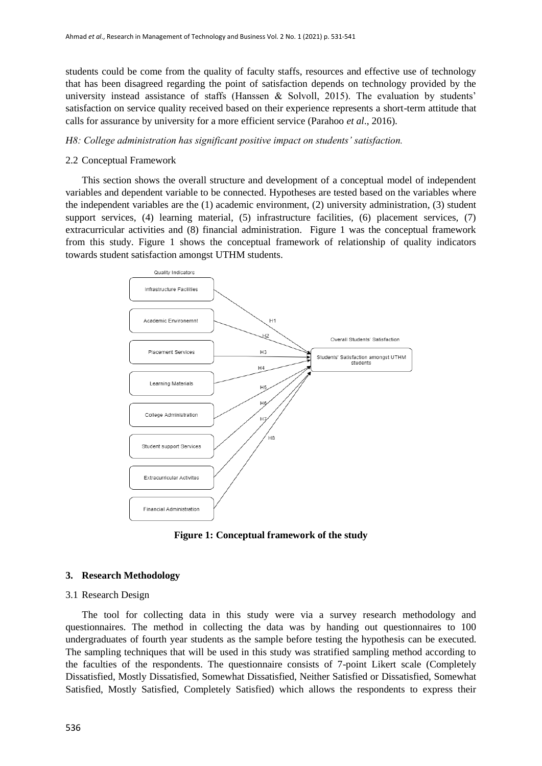students could be come from the quality of faculty staffs, resources and effective use of technology that has been disagreed regarding the point of satisfaction depends on technology provided by the university instead assistance of staffs (Hanssen & Solvoll, 2015). The evaluation by students' satisfaction on service quality received based on their experience represents a short-term attitude that calls for assurance by university for a more efficient service (Parahoo *et al*., 2016).

#### *H8: College administration has significant positive impact on students' satisfaction.*

#### 2.2 Conceptual Framework

This section shows the overall structure and development of a conceptual model of independent variables and dependent variable to be connected. Hypotheses are tested based on the variables where the independent variables are the (1) academic environment, (2) university administration, (3) student support services, (4) learning material, (5) infrastructure facilities, (6) placement services, (7) extracurricular activities and (8) financial administration. Figure 1 was the conceptual framework from this study. Figure 1 shows the conceptual framework of relationship of quality indicators towards student satisfaction amongst UTHM students.



**Figure 1: Conceptual framework of the study**

#### **3. Research Methodology**

#### 3.1 Research Design

The tool for collecting data in this study were via a survey research methodology and questionnaires. The method in collecting the data was by handing out questionnaires to 100 undergraduates of fourth year students as the sample before testing the hypothesis can be executed. The sampling techniques that will be used in this study was stratified sampling method according to the faculties of the respondents. The questionnaire consists of 7-point Likert scale (Completely Dissatisfied, Mostly Dissatisfied, Somewhat Dissatisfied, Neither Satisfied or Dissatisfied, Somewhat Satisfied, Mostly Satisfied, Completely Satisfied) which allows the respondents to express their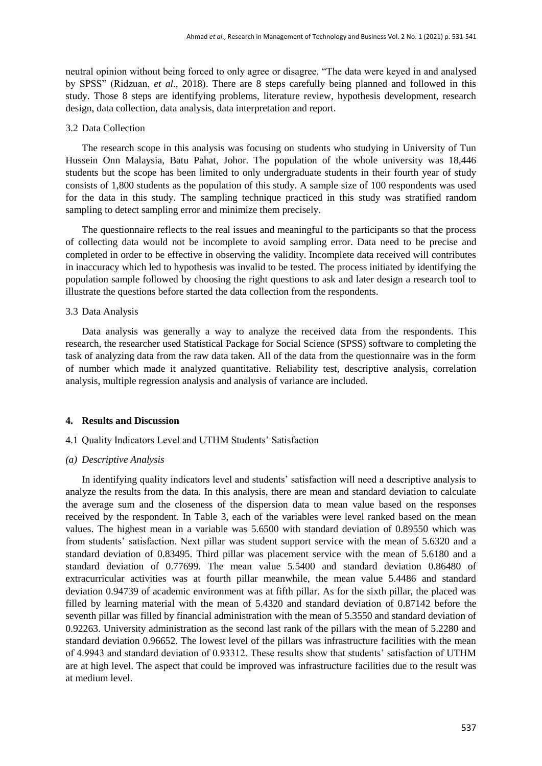neutral opinion without being forced to only agree or disagree. "The data were keyed in and analysed by SPSS" (Ridzuan, *et al*., 2018). There are 8 steps carefully being planned and followed in this study. Those 8 steps are identifying problems, literature review, hypothesis development, research design, data collection, data analysis, data interpretation and report.

#### 3.2 Data Collection

The research scope in this analysis was focusing on students who studying in University of Tun Hussein Onn Malaysia, Batu Pahat, Johor. The population of the whole university was 18,446 students but the scope has been limited to only undergraduate students in their fourth year of study consists of 1,800 students as the population of this study. A sample size of 100 respondents was used for the data in this study. The sampling technique practiced in this study was stratified random sampling to detect sampling error and minimize them precisely.

The questionnaire reflects to the real issues and meaningful to the participants so that the process of collecting data would not be incomplete to avoid sampling error. Data need to be precise and completed in order to be effective in observing the validity. Incomplete data received will contributes in inaccuracy which led to hypothesis was invalid to be tested. The process initiated by identifying the population sample followed by choosing the right questions to ask and later design a research tool to illustrate the questions before started the data collection from the respondents.

#### 3.3 Data Analysis

Data analysis was generally a way to analyze the received data from the respondents. This research, the researcher used Statistical Package for Social Science (SPSS) software to completing the task of analyzing data from the raw data taken. All of the data from the questionnaire was in the form of number which made it analyzed quantitative. Reliability test, descriptive analysis, correlation analysis, multiple regression analysis and analysis of variance are included.

#### **4. Results and Discussion**

#### 4.1 Quality Indicators Level and UTHM Students' Satisfaction

#### *(a) Descriptive Analysis*

In identifying quality indicators level and students' satisfaction will need a descriptive analysis to analyze the results from the data. In this analysis, there are mean and standard deviation to calculate the average sum and the closeness of the dispersion data to mean value based on the responses received by the respondent. In Table 3, each of the variables were level ranked based on the mean values. The highest mean in a variable was 5.6500 with standard deviation of 0.89550 which was from students' satisfaction. Next pillar was student support service with the mean of 5.6320 and a standard deviation of 0.83495. Third pillar was placement service with the mean of 5.6180 and a standard deviation of 0.77699. The mean value 5.5400 and standard deviation 0.86480 of extracurricular activities was at fourth pillar meanwhile, the mean value 5.4486 and standard deviation 0.94739 of academic environment was at fifth pillar. As for the sixth pillar, the placed was filled by learning material with the mean of 5.4320 and standard deviation of 0.87142 before the seventh pillar was filled by financial administration with the mean of 5.3550 and standard deviation of 0.92263. University administration as the second last rank of the pillars with the mean of 5.2280 and standard deviation 0.96652. The lowest level of the pillars was infrastructure facilities with the mean of 4.9943 and standard deviation of 0.93312. These results show that students' satisfaction of UTHM are at high level. The aspect that could be improved was infrastructure facilities due to the result was at medium level.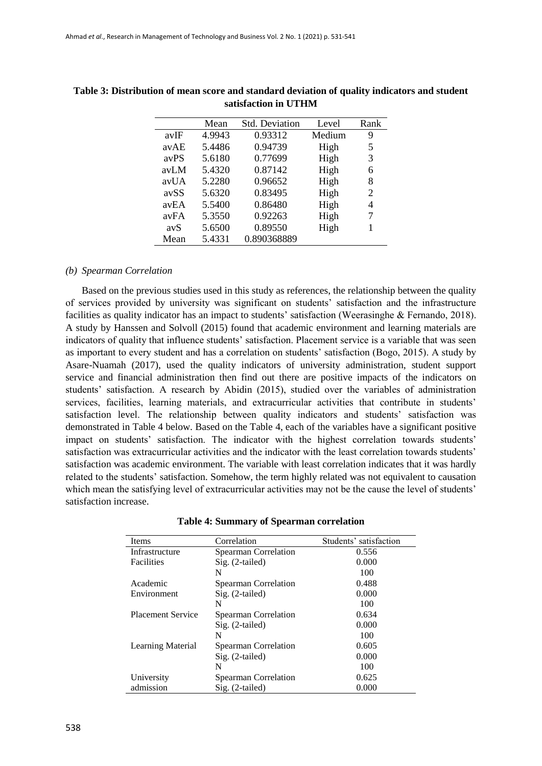|                 | Mean   | <b>Std. Deviation</b> | Level  | Rank |
|-----------------|--------|-----------------------|--------|------|
| avIF            | 4.9943 | 0.93312               | Medium | 9    |
| avAE            | 5.4486 | 0.94739               | High   | 5    |
| avPS            | 5.6180 | 0.77699               | High   | 3    |
| avLM            | 5.4320 | 0.87142               | High   | 6    |
| avUA            | 5.2280 | 0.96652               | High   | 8    |
| avSS            | 5.6320 | 0.83495               | High   | 2    |
| avEA            | 5.5400 | 0.86480               | High   | 4    |
| avFA            | 5.3550 | 0.92263               | High   | 7    |
| av <sub>S</sub> | 5.6500 | 0.89550               | High   | 1    |
| Mean            | 5.4331 | 0.890368889           |        |      |

**Table 3: Distribution of mean score and standard deviation of quality indicators and student satisfaction in UTHM**

# *(b) Spearman Correlation*

Based on the previous studies used in this study as references, the relationship between the quality of services provided by university was significant on students' satisfaction and the infrastructure facilities as quality indicator has an impact to students' satisfaction (Weerasinghe & Fernando, 2018). A study by Hanssen and Solvoll (2015) found that academic environment and learning materials are indicators of quality that influence students' satisfaction. Placement service is a variable that was seen as important to every student and has a correlation on students' satisfaction (Bogo, 2015). A study by Asare-Nuamah (2017), used the quality indicators of university administration, student support service and financial administration then find out there are positive impacts of the indicators on students' satisfaction. A research by Abidin (2015), studied over the variables of administration services, facilities, learning materials, and extracurricular activities that contribute in students' satisfaction level. The relationship between quality indicators and students' satisfaction was demonstrated in Table 4 below. Based on the Table 4, each of the variables have a significant positive impact on students' satisfaction. The indicator with the highest correlation towards students' satisfaction was extracurricular activities and the indicator with the least correlation towards students' satisfaction was academic environment. The variable with least correlation indicates that it was hardly related to the students' satisfaction. Somehow, the term highly related was not equivalent to causation which mean the satisfying level of extracurricular activities may not be the cause the level of students' satisfaction increase.

| Items                    | Correlation          | Students' satisfaction |
|--------------------------|----------------------|------------------------|
| Infrastructure           | Spearman Correlation | 0.556                  |
| Facilities               | Sig. (2-tailed)      | 0.000                  |
|                          | N                    | 100                    |
| Academic                 | Spearman Correlation | 0.488                  |
| Environment              | $Sig. (2-tailed)$    | 0.000                  |
|                          | N                    | 100                    |
| <b>Placement Service</b> | Spearman Correlation | 0.634                  |
|                          | Sig. (2-tailed)      | 0.000                  |
|                          | N                    | 100                    |
| Learning Material        | Spearman Correlation | 0.605                  |
|                          | $Sig. (2-tailed)$    | 0.000                  |
|                          | N                    | 100                    |
| University               | Spearman Correlation | 0.625                  |
| admission                | $Sig. (2-tailed)$    | 0.000                  |

#### **Table 4: Summary of Spearman correlation**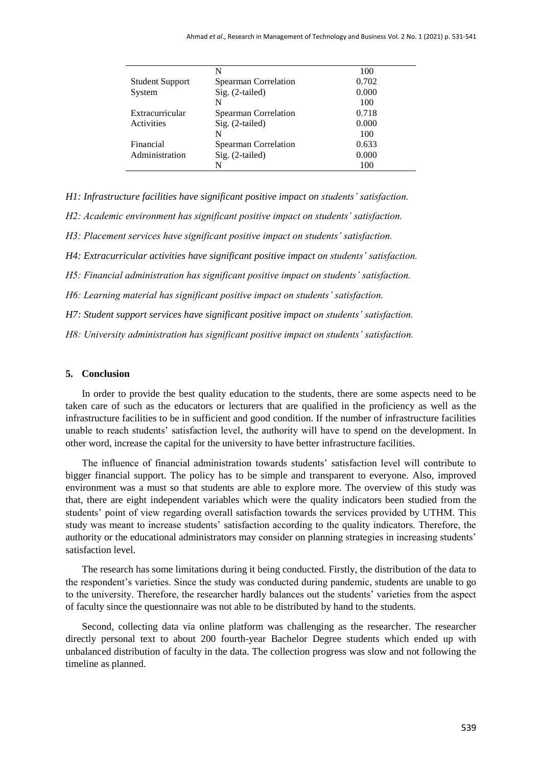|                        | N                    | 100   |
|------------------------|----------------------|-------|
| <b>Student Support</b> | Spearman Correlation | 0.702 |
| System                 | Sig. (2-tailed)      | 0.000 |
|                        | N                    | 100   |
| Extracurricular        | Spearman Correlation | 0.718 |
| Activities             | Sig. (2-tailed)      | 0.000 |
|                        | N                    | 100   |
| Financial              | Spearman Correlation | 0.633 |
| Administration         | Sig. (2-tailed)      | 0.000 |
|                        | N                    | 100   |

*H1: Infrastructure facilities have significant positive impact on students' satisfaction.*

*H2: Academic environment has significant positive impact on students' satisfaction.*

*H3: Placement services have significant positive impact on students' satisfaction.*

*H4: Extracurricular activities have significant positive impact on students' satisfaction.*

*H5: Financial administration has significant positive impact on students' satisfaction.*

*H6: Learning material has significant positive impact on students' satisfaction.*

*H7: Student support services have significant positive impact on students' satisfaction.*

*H8: University administration has significant positive impact on students' satisfaction.*

# **5. Conclusion**

In order to provide the best quality education to the students, there are some aspects need to be taken care of such as the educators or lecturers that are qualified in the proficiency as well as the infrastructure facilities to be in sufficient and good condition. If the number of infrastructure facilities unable to reach students' satisfaction level, the authority will have to spend on the development. In other word, increase the capital for the university to have better infrastructure facilities.

The influence of financial administration towards students' satisfaction level will contribute to bigger financial support. The policy has to be simple and transparent to everyone. Also, improved environment was a must so that students are able to explore more. The overview of this study was that, there are eight independent variables which were the quality indicators been studied from the students' point of view regarding overall satisfaction towards the services provided by UTHM. This study was meant to increase students' satisfaction according to the quality indicators. Therefore, the authority or the educational administrators may consider on planning strategies in increasing students' satisfaction level.

The research has some limitations during it being conducted. Firstly, the distribution of the data to the respondent's varieties. Since the study was conducted during pandemic, students are unable to go to the university. Therefore, the researcher hardly balances out the students' varieties from the aspect of faculty since the questionnaire was not able to be distributed by hand to the students.

Second, collecting data via online platform was challenging as the researcher. The researcher directly personal text to about 200 fourth-year Bachelor Degree students which ended up with unbalanced distribution of faculty in the data. The collection progress was slow and not following the timeline as planned.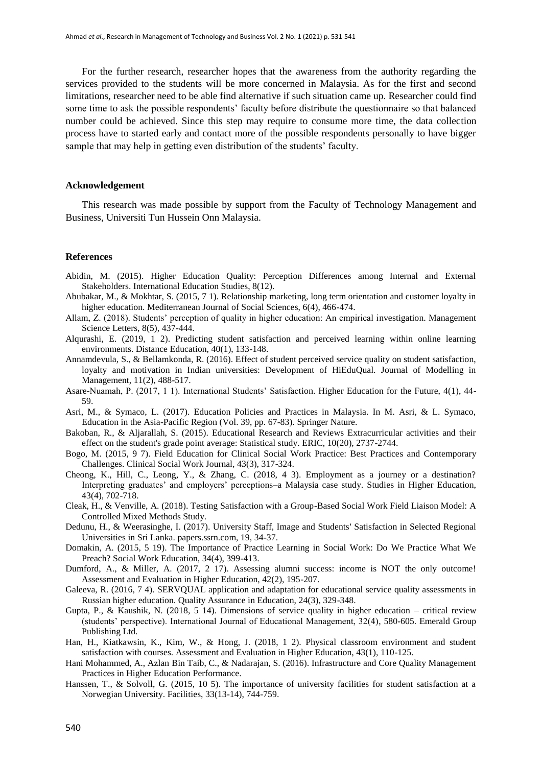For the further research, researcher hopes that the awareness from the authority regarding the services provided to the students will be more concerned in Malaysia. As for the first and second limitations, researcher need to be able find alternative if such situation came up. Researcher could find some time to ask the possible respondents' faculty before distribute the questionnaire so that balanced number could be achieved. Since this step may require to consume more time, the data collection process have to started early and contact more of the possible respondents personally to have bigger sample that may help in getting even distribution of the students' faculty.

#### **Acknowledgement**

This research was made possible by support from the Faculty of Technology Management and Business, Universiti Tun Hussein Onn Malaysia.

# **References**

- Abidin, M. (2015). Higher Education Quality: Perception Differences among Internal and External Stakeholders. International Education Studies, 8(12).
- Abubakar, M., & Mokhtar, S. (2015, 7 1). Relationship marketing, long term orientation and customer loyalty in higher education. Mediterranean Journal of Social Sciences, 6(4), 466-474.
- Allam, Z. (2018). Students' perception of quality in higher education: An empirical investigation. Management Science Letters, 8(5), 437-444.
- Alqurashi, E. (2019, 1 2). Predicting student satisfaction and perceived learning within online learning environments. Distance Education, 40(1), 133-148.
- Annamdevula, S., & Bellamkonda, R. (2016). Effect of student perceived service quality on student satisfaction, loyalty and motivation in Indian universities: Development of HiEduQual. Journal of Modelling in Management, 11(2), 488-517.
- Asare-Nuamah, P. (2017, 1 1). International Students' Satisfaction. Higher Education for the Future, 4(1), 44- 59.
- Asri, M., & Symaco, L. (2017). Education Policies and Practices in Malaysia. In M. Asri, & L. Symaco, Education in the Asia-Pacific Region (Vol. 39, pp. 67-83). Springer Nature.
- Bakoban, R., & Aljarallah, S. (2015). Educational Research and Reviews Extracurricular activities and their effect on the student's grade point average: Statistical study. ERIC, 10(20), 2737-2744.
- Bogo, M. (2015, 9 7). Field Education for Clinical Social Work Practice: Best Practices and Contemporary Challenges. Clinical Social Work Journal, 43(3), 317-324.
- Cheong, K., Hill, C., Leong, Y., & Zhang, C. (2018, 4 3). Employment as a journey or a destination? Interpreting graduates' and employers' perceptions–a Malaysia case study. Studies in Higher Education, 43(4), 702-718.
- Cleak, H., & Venville, A. (2018). Testing Satisfaction with a Group-Based Social Work Field Liaison Model: A Controlled Mixed Methods Study.
- Dedunu, H., & Weerasinghe, I. (2017). University Staff, Image and Students' Satisfaction in Selected Regional Universities in Sri Lanka. papers.ssrn.com, 19, 34-37.
- Domakin, A. (2015, 5 19). The Importance of Practice Learning in Social Work: Do We Practice What We Preach? Social Work Education, 34(4), 399-413.
- Dumford, A., & Miller, A. (2017, 2 17). Assessing alumni success: income is NOT the only outcome! Assessment and Evaluation in Higher Education, 42(2), 195-207.
- Galeeva, R. (2016, 7 4). SERVQUAL application and adaptation for educational service quality assessments in Russian higher education. Quality Assurance in Education, 24(3), 329-348.
- Gupta, P., & Kaushik, N. (2018, 5 14). Dimensions of service quality in higher education critical review (students' perspective). International Journal of Educational Management, 32(4), 580-605. Emerald Group Publishing Ltd.
- Han, H., Kiatkawsin, K., Kim, W., & Hong, J. (2018, 1 2). Physical classroom environment and student satisfaction with courses. Assessment and Evaluation in Higher Education, 43(1), 110-125.
- Hani Mohammed, A., Azlan Bin Taib, C., & Nadarajan, S. (2016). Infrastructure and Core Quality Management Practices in Higher Education Performance.
- Hanssen, T., & Solvoll, G. (2015, 10 5). The importance of university facilities for student satisfaction at a Norwegian University. Facilities, 33(13-14), 744-759.